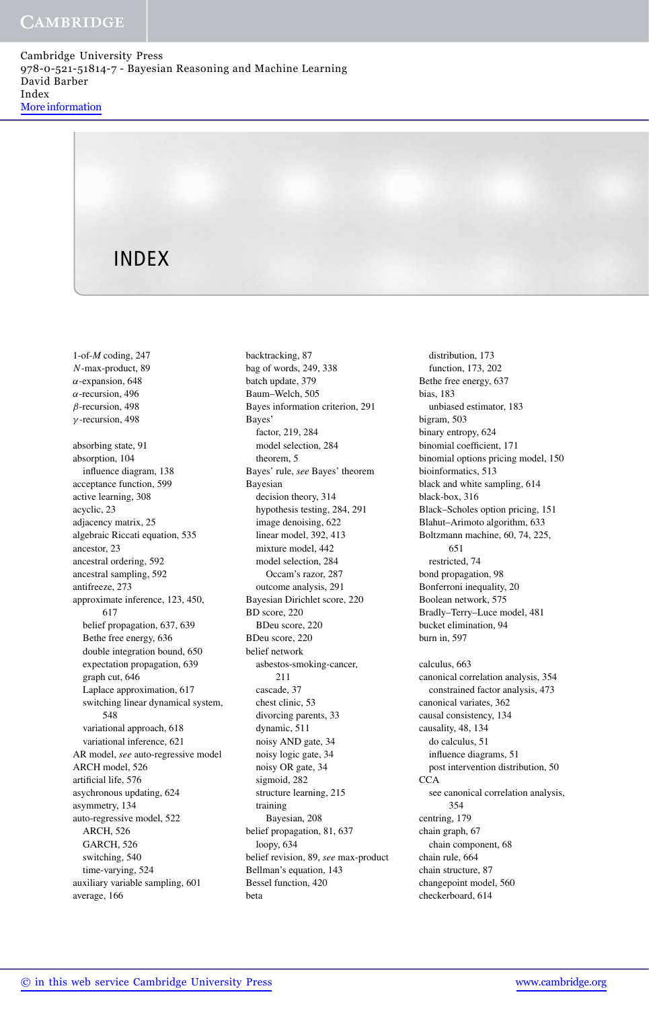Cambridge University Press 978-0-521-51814-7 - Bayesian Reasoning and Machine Learning David Barber Index More information

# INDEX

1-of-*M* coding, 247 *N*-max-product, 89 *α*-expansion, 648 *α*-recursion, 496 *β*-recursion, 498 *γ* -recursion, 498 absorbing state, 91 absorption, 104 influence diagram, 138 acceptance function, 599 active learning, 308 acyclic, 23 adjacency matrix, 25 algebraic Riccati equation, 535 ancestor, 23 ancestral ordering, 592 ancestral sampling, 592 antifreeze, 273 approximate inference, 123, 450, 617 belief propagation, 637, 639 Bethe free energy, 636 double integration bound, 650 expectation propagation, 639 graph cut, 646 Laplace approximation, 617 switching linear dynamical system, 548 variational approach, 618 variational inference, 621 AR model, *see* auto-regressive model ARCH model, 526 artificial life, 576 asychronous updating, 624 asymmetry, 134 auto-regressive model, 522 ARCH, 526 GARCH, 526 switching, 540 time-varying, 524 auxiliary variable sampling, 601 average, 166

backtracking, 87 bag of words, 249, 338 batch update, 379 Baum–Welch, 505 Bayes information criterion, 291 Bayes' factor, 219, 284 model selection, 284 theorem, 5 Bayes' rule, *see* Bayes' theorem Bayesian decision theory, 314 hypothesis testing, 284, 291 image denoising, 622 linear model, 392, 413 mixture model, 442 model selection, 284 Occam's razor, 287 outcome analysis, 291 Bayesian Dirichlet score, 220 BD score, 220 BDeu score, 220 BDeu score, 220 belief network asbestos-smoking-cancer, 211 cascade, 37 chest clinic, 53 divorcing parents, 33 dynamic, 511 noisy AND gate, 34 noisy logic gate, 34 noisy OR gate, 34 sigmoid, 282 structure learning, 215 training Bayesian, 208 belief propagation, 81, 637 loopy, 634 belief revision, 89, *see* max-product Bellman's equation, 143 Bessel function, 420 beta

distribution 173 function, 173, 202 Bethe free energy, 637 bias, 183 unbiased estimator, 183 bigram, 503 binary entropy, 624 binomial coefficient, 171 binomial options pricing model, 150 bioinformatics, 513 black and white sampling, 614 black-box, 316 Black–Scholes option pricing, 151 Blahut–Arimoto algorithm, 633 Boltzmann machine, 60, 74, 225, 651 restricted, 74 bond propagation, 98 Bonferroni inequality, 20 Boolean network, 575 Bradly–Terry–Luce model, 481 bucket elimination, 94 burn in, 597 calculus, 663 canonical correlation analysis, 354 constrained factor analysis, 473 canonical variates, 362 causal consistency, 134 causality, 48, 134 do calculus, 51 influence diagrams, 51 post intervention distribution, 50 **CCA** see canonical correlation analysis, 354 centring, 179 chain graph, 67 chain component, 68 chain rule, 664 chain structure, 87 changepoint model, 560 checkerboard, 614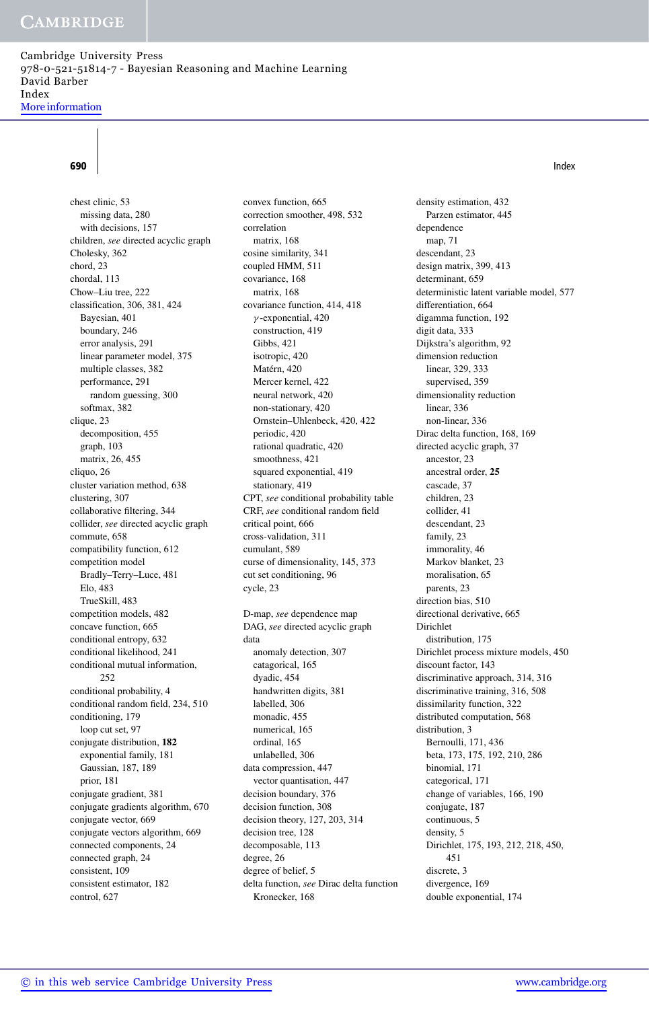Cambridge University Press 978-0-521-51814-7 - Bayesian Reasoning and Machine Learning David Barber Index More information

## **690** Index

chest clinic, 53 missing data, 280 with decisions, 157 children, *see* directed acyclic graph Cholesky, 362 chord, 23 chordal, 113 Chow–Liu tree, 222 classification, 306, 381, 424 Bayesian, 401 boundary, 246 error analysis, 291 linear parameter model, 375 multiple classes, 382 performance, 291 random guessing, 300 softmax, 382 clique, 23 decomposition, 455 graph, 103 matrix, 26, 455 cliquo, 26 cluster variation method, 638 clustering, 307 collaborative filtering, 344 collider, *see* directed acyclic graph commute, 658 compatibility function, 612 competition model Bradly–Terry–Luce, 481 Elo, 483 TrueSkill, 483 competition models, 482 concave function, 665 conditional entropy, 632 conditional likelihood, 241 conditional mutual information,  $252$ conditional probability, 4 conditional random field, 234, 510 conditioning, 179 loop cut set, 97 conjugate distribution, **182** exponential family, 181 Gaussian, 187, 189 prior, 181 conjugate gradient, 381 conjugate gradients algorithm, 670 conjugate vector, 669 conjugate vectors algorithm, 669 connected components, 24 connected graph, 24 consistent, 109 consistent estimator, 182 control, 627

convex function, 665 correction smoother, 498, 532 correlation matrix, 168 cosine similarity, 341 coupled HMM, 511 covariance, 168 matrix, 168 covariance function, 414, 418 *γ* -exponential, 420 construction, 419 Gibbs, 421 isotropic, 420 Matérn, 420 Mercer kernel, 422 neural network, 420 non-stationary, 420 Ornstein–Uhlenbeck, 420, 422 periodic, 420 rational quadratic, 420 smoothness, 421 squared exponential, 419 stationary, 419 CPT, *see* conditional probability table CRF, *see* conditional random field critical point, 666 cross-validation, 311 cumulant, 589 curse of dimensionality, 145, 373 cut set conditioning, 96 cycle, 23 D-map, *see* dependence map DAG, *see* directed acyclic graph data anomaly detection, 307 catagorical, 165 dyadic, 454 handwritten digits, 381 labelled, 306 monadic, 455 numerical, 165 ordinal, 165 unlabelled, 306 data compression, 447 vector quantisation, 447 decision boundary, 376

decision function, 308 decision theory, 127, 203, 314

delta function, *see* Dirac delta function

decision tree, 128 decomposable, 113 degree, 26 degree of belief, 5

Kronecker, 168

density estimation, 432 Parzen estimator, 445 dependence map, 71 descendant, 23 design matrix, 399, 413 determinant, 659 deterministic latent variable model, 577 differentiation, 664 digamma function, 192 digit data, 333 Dijkstra's algorithm, 92 dimension reduction linear, 329, 333 supervised, 359 dimensionality reduction linear, 336 non-linear, 336 Dirac delta function, 168, 169 directed acyclic graph, 37 ancestor, 23 ancestral order, **25** cascade, 37 children, 23 collider, 41 descendant, 23 family, 23 immorality, 46 Markov blanket, 23 moralisation, 65 parents, 23 direction bias, 510 directional derivative, 665 Dirichlet distribution, 175 Dirichlet process mixture models, 450 discount factor, 143 discriminative approach, 314, 316 discriminative training, 316, 508 dissimilarity function, 322 distributed computation, 568 distribution, 3 Bernoulli, 171, 436 beta, 173, 175, 192, 210, 286 binomial, 171 categorical, 171 change of variables, 166, 190 conjugate, 187 continuous, 5 density, 5 Dirichlet, 175, 193, 212, 218, 450, 451 discrete, 3 divergence, 169 double exponential, 174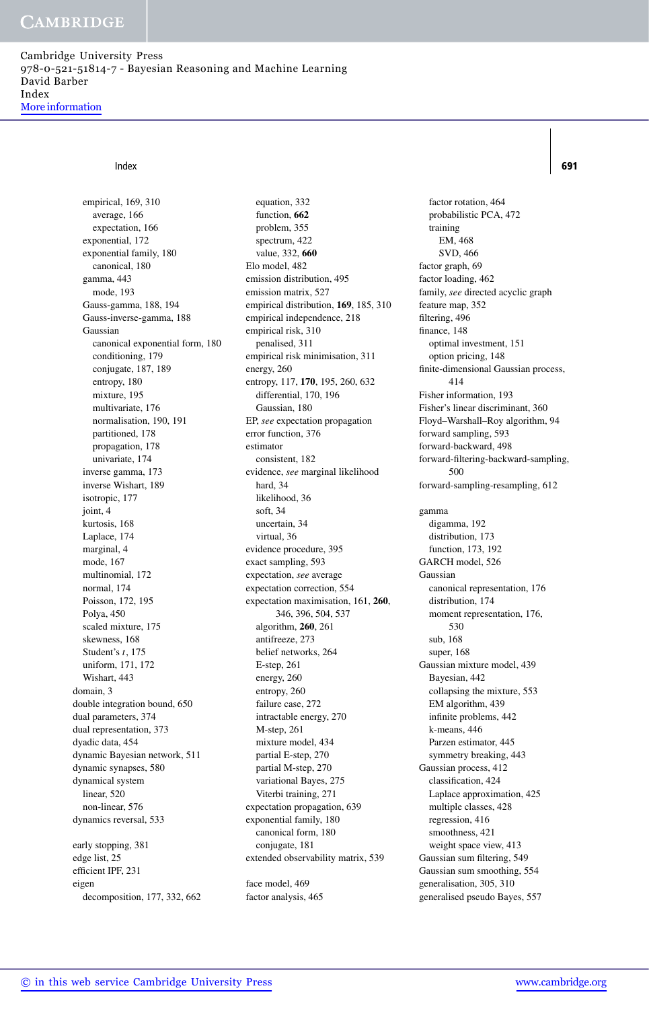Cambridge University Press 978-0-521-51814-7 - Bayesian Reasoning and Machine Learning David Barber Index More information

### Index **691**

empirical, 169, 310 average, 166 expectation, 166 exponential, 172 exponential family, 180 canonical, 180 gamma, 443 mode, 193 Gauss-gamma, 188, 194 Gauss-inverse-gamma, 188 Gaussian canonical exponential form, 180 conditioning, 179 conjugate, 187, 189 entropy, 180 mixture, 195 multivariate, 176 normalisation, 190, 191 partitioned, 178 propagation, 178 univariate, 174 inverse gamma, 173 inverse Wishart, 189 isotropic, 177 joint, 4 kurtosis, 168 Laplace, 174 marginal, 4 mode, 167 multinomial, 172 normal, 174 Poisson, 172, 195 Polya, 450 scaled mixture, 175 skewness, 168 Student's *t*, 175 uniform, 171, 172 Wishart, 443 domain, 3 double integration bound, 650 dual parameters, 374 dual representation, 373 dyadic data, 454 dynamic Bayesian network, 511 dynamic synapses, 580 dynamical system linear, 520 non-linear, 576 dynamics reversal, 533 early stopping, 381 edge list, 25 efficient IPF, 231 eigen decomposition, 177, 332, 662

equation, 332 function, **662** problem, 355 spectrum, 422 value, 332, **660** Elo model, 482 emission distribution, 495 emission matrix, 527 empirical distribution, **169**, 185, 310 empirical independence, 218 empirical risk, 310 penalised, 311 empirical risk minimisation, 311 energy, 260 entropy, 117, **170**, 195, 260, 632 differential, 170, 196 Gaussian, 180 EP, *see* expectation propagation error function, 376 estimator consistent, 182 evidence, *see* marginal likelihood hard, 34 likelihood, 36 soft, 34 uncertain, 34 virtual, 36 evidence procedure, 395 exact sampling, 593 expectation, *see* average expectation correction, 554 expectation maximisation, 161, **260**, 346, 396, 504, 537 algorithm, **260**, 261 antifreeze, 273 belief networks, 264 E-step, 261 energy, 260 entropy, 260 failure case, 272 intractable energy, 270 M-step, 261 mixture model, 434 partial E-step, 270 partial M-step, 270 variational Bayes, 275 Viterbi training, 271 expectation propagation, 639 exponential family, 180 canonical form, 180 conjugate, 181 extended observability matrix, 539 face model, 469

factor analysis, 465

factor rotation, 464 probabilistic PCA, 472 training EM, 468 SVD, 466 factor graph, 69 factor loading, 462 family, *see* directed acyclic graph feature map, 352 filtering, 496 finance, 148 optimal investment, 151 option pricing, 148 finite-dimensional Gaussian process, 414 Fisher information, 193 Fisher's linear discriminant, 360 Floyd–Warshall–Roy algorithm, 94 forward sampling, 593 forward-backward, 498 forward-filtering-backward-sampling, 500 forward-sampling-resampling, 612 gamma digamma, 192 distribution, 173 function, 173, 192 GARCH model, 526 Gaussian canonical representation, 176 distribution, 174 moment representation, 176, 530 sub, 168 super, 168 Gaussian mixture model, 439 Bayesian, 442 collapsing the mixture, 553 EM algorithm, 439 infinite problems, 442 k-means, 446 Parzen estimator, 445 symmetry breaking, 443 Gaussian process, 412 classification, 424 Laplace approximation, 425 multiple classes, 428 regression, 416 smoothness, 421 weight space view, 413 Gaussian sum filtering, 549 Gaussian sum smoothing, 554 generalisation, 305, 310 generalised pseudo Bayes, 557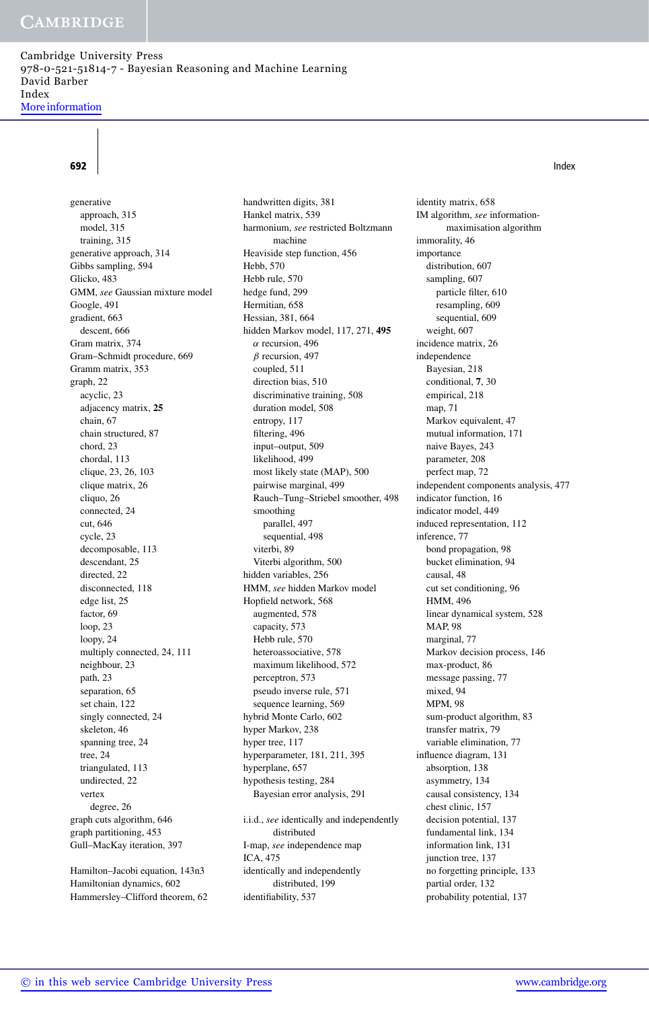Cambridge University Press 978-0-521-51814-7 - Bayesian Reasoning and Machine Learning David Barber Index More information

generative approach, 315 model, 315 training, 315 generative approach, 314 Gibbs sampling, 594 Glicko, 483 GMM, *see* Gaussian mixture model Google, 491 gradient, 663 descent, 666 Gram matrix, 374 Gram–Schmidt procedure, 669 Gramm matrix, 353 graph, 22 acyclic, 23 adjacency matrix, **25** chain, 67 chain structured, 87 chord, 23 chordal, 113 clique, 23, 26, 103 clique matrix, 26 cliquo, 26 connected, 24 cut, 646 cycle, 23 decomposable, 113 descendant, 25 directed, 22 disconnected, 118 edge list, 25 factor, 69 loop, 23 loopy, 24 multiply connected, 24, 111 neighbour, 23 path, 23 separation, 65 set chain, 122 singly connected, 24 skeleton, 46 spanning tree, 24 tree, 24 triangulated, 113 undirected, 22 vertex degree, 26 graph cuts algorithm, 646 graph partitioning, 453 Gull–MacKay iteration, 397

Hamilton–Jacobi equation, 143n3 Hamiltonian dynamics, 602 Hammersley–Clifford theorem, 62 handwritten digits, 381 Hankel matrix, 539 harmonium, *see* restricted Boltzmann machine Heaviside step function, 456 Hebb, 570 Hebb rule, 570 hedge fund, 299 Hermitian, 658 Hessian, 381, 664 hidden Markov model, 117, 271, **495** *α* recursion, 496 *β* recursion, 497 coupled, 511 direction bias, 510 discriminative training, 508 duration model, 508 entropy, 117 filtering, 496 input–output, 509 likelihood, 499 most likely state (MAP), 500 pairwise marginal, 499 Rauch–Tung–Striebel smoother, 498 smoothing parallel, 497 sequential, 498 viterbi, 89 Viterbi algorithm, 500 hidden variables, 256 HMM, *see* hidden Markov model Hopfield network, 568 augmented, 578 capacity, 573 Hebb rule, 570 heteroassociative, 578 maximum likelihood, 572 perceptron, 573 pseudo inverse rule, 571 sequence learning, 569 hybrid Monte Carlo, 602 hyper Markov, 238 hyper tree, 117 hyperparameter, 181, 211, 395 hyperplane, 657 hypothesis testing, 284 Bayesian error analysis, 291 i.i.d., *see* identically and independently distributed I-map, *see* independence map ICA, 475 identically and independently distributed, 199

identifiability, 537

identity matrix, 658 IM algorithm, *see* informationmaximisation algorithm immorality, 46 importance distribution, 607 sampling, 607 particle filter, 610 resampling, 609 sequential, 609 weight, 607 incidence matrix, 26 independence Bayesian, 218 conditional, **7**, 30 empirical, 218 map, 71 Markov equivalent, 47 mutual information, 171 naive Bayes, 243 parameter, 208 perfect map, 72 independent components analysis, 477 indicator function, 16 indicator model, 449 induced representation, 112 inference, 77 bond propagation, 98 bucket elimination, 94 causal, 48 cut set conditioning, 96 HMM, 496 linear dynamical system, 528 MAP, 98 marginal, 77 Markov decision process, 146 max-product, 86 message passing, 77 mixed, 94 MPM, 98 sum-product algorithm, 83 transfer matrix, 79 variable elimination, 77 influence diagram, 131 absorption, 138 asymmetry, 134 causal consistency, 134 chest clinic, 157 decision potential, 137 fundamental link, 134 information link, 131 junction tree, 137 no forgetting principle, 133 partial order, 132 probability potential, 137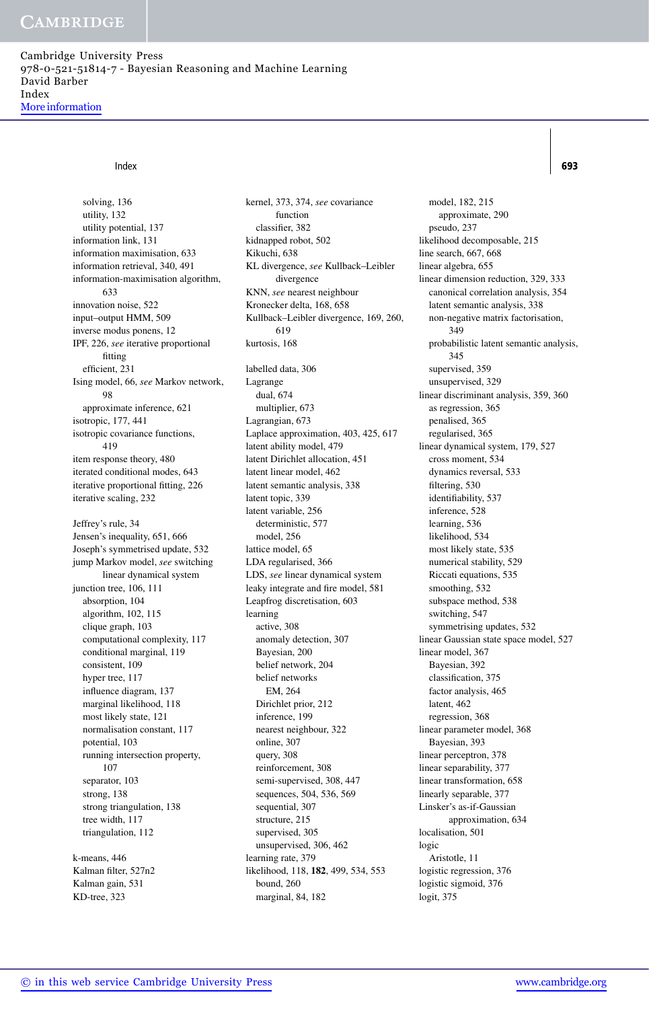Cambridge University Press 978-0-521-51814-7 - Bayesian Reasoning and Machine Learning David Barber Index More information

## Index **693**

solving, 136 utility, 132 utility potential, 137 information link, 131 information maximisation, 633 information retrieval, 340, 491 information-maximisation algorithm, 633 innovation noise, 522 input–output HMM, 509 inverse modus ponens, 12 IPF, 226, *see* iterative proportional fitting efficient, 231 Ising model, 66, *see* Markov network, 98 approximate inference, 621 isotropic, 177, 441 isotropic covariance functions, 419 item response theory, 480 iterated conditional modes, 643 iterative proportional fitting, 226 iterative scaling, 232 Jeffrey's rule, 34 Jensen's inequality, 651, 666 Joseph's symmetrised update, 532 jump Markov model, *see* switching linear dynamical system junction tree, 106, 111 absorption, 104 algorithm, 102, 115 clique graph, 103 computational complexity, 117 conditional marginal, 119 consistent, 109 hyper tree, 117 influence diagram, 137 marginal likelihood, 118 most likely state, 121 normalisation constant, 117 potential, 103 running intersection property, 107 separator, 103 strong, 138 strong triangulation, 138 tree width, 117 triangulation, 112 k-means, 446

Kalman filter, 527n2 Kalman gain, 531 KD-tree, 323

kernel, 373, 374, *see* covariance function classifier, 382 kidnapped robot, 502 Kikuchi, 638 KL divergence, *see* Kullback–Leibler divergence KNN, *see* nearest neighbour Kronecker delta, 168, 658 Kullback–Leibler divergence, 169, 260, 619 kurtosis, 168 labelled data, 306 Lagrange dual, 674 multiplier, 673 Lagrangian, 673 Laplace approximation, 403, 425, 617 latent ability model, 479 latent Dirichlet allocation, 451 latent linear model, 462 latent semantic analysis, 338 latent topic, 339 latent variable, 256 deterministic, 577 model, 256 lattice model, 65 LDA regularised, 366 LDS, *see* linear dynamical system leaky integrate and fire model, 581 Leapfrog discretisation, 603 learning active, 308 anomaly detection, 307 Bayesian, 200 belief network, 204 belief networks EM, 264 Dirichlet prior, 212 inference, 199 nearest neighbour, 322 online, 307 query, 308 reinforcement, 308 semi-supervised, 308, 447 sequences, 504, 536, 569 sequential, 307 structure, 215 supervised, 305 unsupervised, 306, 462 learning rate, 379 likelihood, 118, **182**, 499, 534, 553 bound, 260 marginal, 84, 182

model, 182, 215 approximate, 290 pseudo, 237 likelihood decomposable, 215 line search, 667, 668 linear algebra, 655 linear dimension reduction, 329, 333 canonical correlation analysis, 354 latent semantic analysis, 338 non-negative matrix factorisation, 349 probabilistic latent semantic analysis, 345 supervised, 359 unsupervised, 329 linear discriminant analysis, 359, 360 as regression, 365 penalised, 365 regularised, 365 linear dynamical system, 179, 527 cross moment, 534 dynamics reversal, 533 filtering, 530 identifiability, 537 inference, 528 learning, 536 likelihood, 534 most likely state, 535 numerical stability, 529 Riccati equations, 535 smoothing, 532 subspace method, 538 switching, 547 symmetrising updates, 532 linear Gaussian state space model, 527 linear model, 367 Bayesian, 392 classification, 375 factor analysis, 465 latent, 462 regression, 368 linear parameter model, 368 Bayesian, 393 linear perceptron, 378 linear separability, 377 linear transformation, 658 linearly separable, 377 Linsker's as-if-Gaussian approximation, 634 localisation, 501 logic Aristotle, 11 logistic regression, 376 logistic sigmoid, 376 logit, 375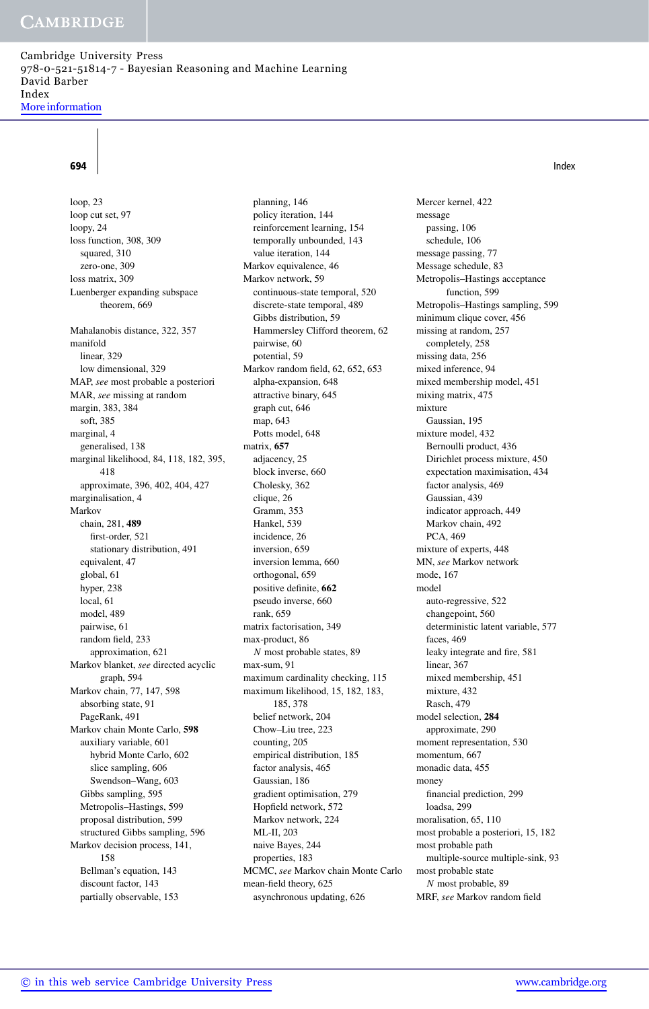Cambridge University Press 978-0-521-51814-7 - Bayesian Reasoning and Machine Learning David Barber Index More information

## **694** Index **Contract Contract Contract Contract Contract Contract Contract Contract Contract Contract Contract Contract Contract Contract Contract Contract Contract Contract Contract Contract Contract Contract Contract Co**

loop, 23 loop cut set, 97 loopy, 24 loss function, 308, 309 squared, 310 zero-one, 309 loss matrix, 309 Luenberger expanding subspace theorem, 669 Mahalanobis distance, 322, 357 manifold linear, 329 low dimensional, 329 MAP, *see* most probable a posteriori MAR, *see* missing at random margin, 383, 384 soft, 385 marginal, 4 generalised, 138 marginal likelihood, 84, 118, 182, 395, 418 approximate, 396, 402, 404, 427 marginalisation, 4 Markov chain, 281, **489** first-order, 521 stationary distribution, 491 equivalent, 47 global, 61 hyper, 238 local, 61 model, 489 pairwise, 61 random field, 233 approximation, 621 Markov blanket, *see* directed acyclic graph, 594 Markov chain, 77, 147, 598 absorbing state, 91 PageRank, 491 Markov chain Monte Carlo, **598** auxiliary variable, 601 hybrid Monte Carlo, 602 slice sampling, 606 Swendson–Wang, 603 Gibbs sampling, 595 Metropolis–Hastings, 599 proposal distribution, 599 structured Gibbs sampling, 596 Markov decision process, 141, 158 Bellman's equation, 143 discount factor, 143 partially observable, 153

planning, 146 policy iteration, 144 reinforcement learning, 154 temporally unbounded, 143 value iteration, 144 Markov equivalence, 46 Markov network, 59 continuous-state temporal, 520 discrete-state temporal, 489 Gibbs distribution, 59 Hammersley Clifford theorem, 62 pairwise, 60 potential, 59 Markov random field, 62, 652, 653 alpha-expansion, 648 attractive binary, 645 graph cut, 646 map, 643 Potts model, 648 matrix, **657** adjacency, 25 block inverse, 660 Cholesky, 362 clique, 26 Gramm, 353 Hankel, 539 incidence, 26 inversion, 659 inversion lemma, 660 orthogonal, 659 positive definite, **662** pseudo inverse, 660 rank, 659 matrix factorisation, 349 max-product, 86 *N* most probable states, 89 max-sum, 91 maximum cardinality checking, 115 maximum likelihood, 15, 182, 183, 185, 378 belief network, 204 Chow–Liu tree, 223 counting, 205 empirical distribution, 185 factor analysis, 465 Gaussian, 186 gradient optimisation, 279 Hopfield network, 572 Markov network, 224 ML-II, 203 naive Bayes, 244 properties, 183 MCMC, *see* Markov chain Monte Carlo mean-field theory, 625 asynchronous updating, 626

Mercer kernel, 422 message passing, 106 schedule, 106 message passing, 77 Message schedule, 83 Metropolis–Hastings acceptance function, 599 Metropolis–Hastings sampling, 599 minimum clique cover, 456 missing at random, 257 completely, 258 missing data, 256 mixed inference, 94 mixed membership model, 451 mixing matrix, 475 mixture Gaussian, 195 mixture model, 432 Bernoulli product, 436 Dirichlet process mixture, 450 expectation maximisation, 434 factor analysis, 469 Gaussian, 439 indicator approach, 449 Markov chain, 492 PCA, 469 mixture of experts, 448 MN, *see* Markov network mode, 167 model auto-regressive, 522 changepoint, 560 deterministic latent variable, 577 faces, 469 leaky integrate and fire, 581 linear, 367 mixed membership, 451 mixture, 432 Rasch, 479 model selection, **284** approximate, 290 moment representation, 530 momentum, 667 monadic data, 455 money financial prediction, 299 loadsa, 299 moralisation, 65, 110 most probable a posteriori, 15, 182 most probable path multiple-source multiple-sink, 93 most probable state *N* most probable, 89 MRF, *see* Markov random field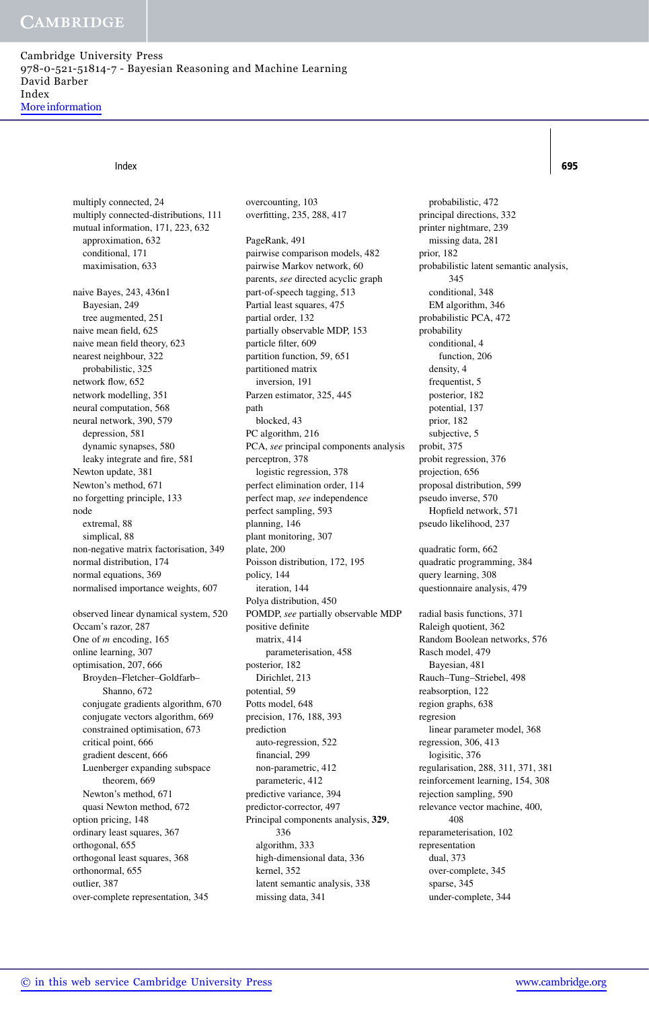Cambridge University Press 978-0-521-51814-7 - Bayesian Reasoning and Machine Learning David Barber Index More information

### Index **695**

multiply connected, 24 multiply connected-distributions, 111 mutual information, 171, 223, 632 approximation, 632 conditional, 171 maximisation, 633 naive Bayes, 243, 436n1 Bayesian, 249 tree augmented, 251 naive mean field, 625 naive mean field theory, 623 nearest neighbour, 322 probabilistic, 325 network flow, 652 network modelling, 351 neural computation, 568 neural network, 390, 579 depression, 581 dynamic synapses, 580 leaky integrate and fire, 581 Newton update, 381 Newton's method, 671 no forgetting principle, 133 node extremal, 88 simplical, 88 non-negative matrix factorisation, 349 normal distribution, 174 normal equations, 369 normalised importance weights, 607 observed linear dynamical system, 520 Occam's razor, 287 One of *m* encoding, 165 online learning, 307 optimisation, 207, 666 Broyden–Fletcher–Goldfarb– Shanno, 672 conjugate gradients algorithm, 670 conjugate vectors algorithm, 669 constrained optimisation, 673

critical point, 666 gradient descent, 666 Luenberger expanding subspace theorem, 669 Newton's method, 671 quasi Newton method, 672 option pricing, 148 ordinary least squares, 367 orthogonal, 655 orthogonal least squares, 368 orthonormal, 655 outlier, 387

over-complete representation, 345

PageRank, 491 pairwise comparison models, 482 pairwise Markov network, 60 parents, *see* directed acyclic graph part-of-speech tagging, 513 Partial least squares, 475 partial order, 132 partially observable MDP, 153 particle filter, 609 partition function, 59, 651 partitioned matrix inversion, 191 Parzen estimator, 325, 445 path blocked, 43

overcounting, 103 overfitting, 235, 288, 417

PC algorithm, 216 PCA, *see* principal components analysis perceptron, 378 logistic regression, 378 perfect elimination order, 114 perfect map, *see* independence perfect sampling, 593 planning, 146 plant monitoring, 307 plate, 200 Poisson distribution, 172, 195 policy, 144 iteration, 144 Polya distribution, 450 POMDP, *see* partially observable MDP positive definite matrix, 414 parameterisation, 458 posterior, 182 Dirichlet, 213 potential, 59 Potts model, 648 precision, 176, 188, 393 prediction auto-regression, 522 financial, 299 non-parametric, 412 parameteric, 412 predictive variance, 394 predictor-corrector, 497 Principal components analysis, **329**, 336 algorithm, 333 high-dimensional data, 336 kernel, 352 latent semantic analysis, 338 missing data, 341

probabilistic, 472 principal directions, 332 printer nightmare, 239 missing data, 281 prior, 182 probabilistic latent semantic analysis, 345 conditional, 348 EM algorithm, 346 probabilistic PCA, 472 probability conditional, 4 function, 206 density, 4 frequentist, 5 posterior, 182 potential, 137 prior, 182 subjective, 5 probit, 375 probit regression, 376 projection, 656 proposal distribution, 599 pseudo inverse, 570 Hopfield network, 571 pseudo likelihood, 237 quadratic form, 662 quadratic programming, 384 query learning, 308 questionnaire analysis, 479 radial basis functions, 371 Raleigh quotient, 362 Random Boolean networks, 576 Rasch model, 479 Bayesian, 481 Rauch–Tung–Striebel, 498 reabsorption, 122 region graphs, 638 regresion linear parameter model, 368 regression, 306, 413 logisitic, 376 regularisation, 288, 311, 371, 381 reinforcement learning, 154, 308 rejection sampling, 590 relevance vector machine, 400, 408 reparameterisation, 102 representation dual, 373 over-complete, 345 sparse, 345 under-complete, 344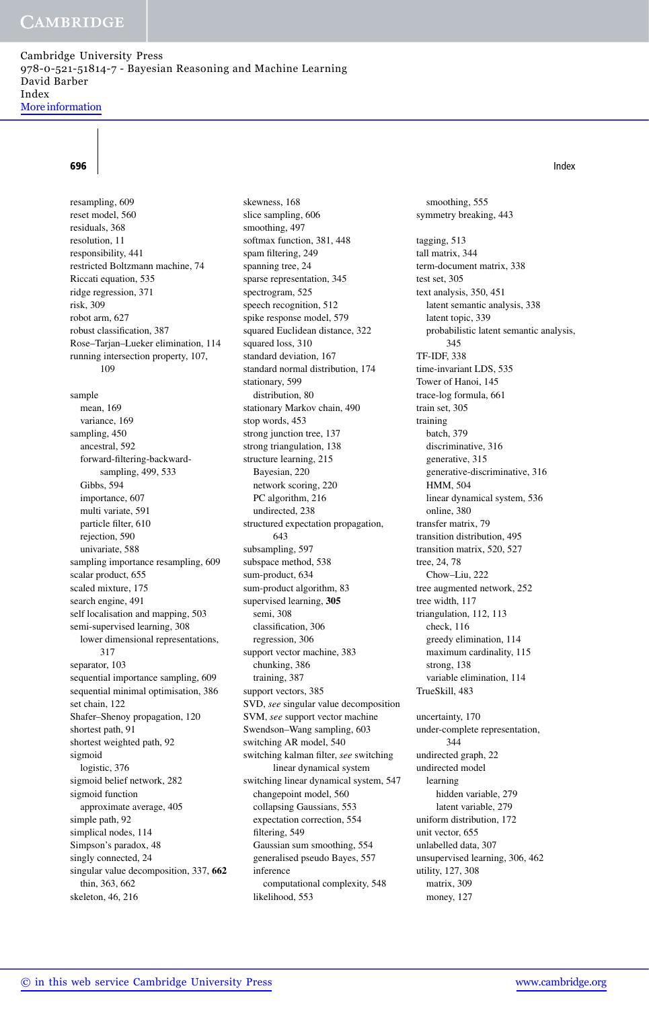Cambridge University Press 978-0-521-51814-7 - Bayesian Reasoning and Machine Learning David Barber Index More information

resampling, 609 reset model, 560 residuals, 368 resolution, 11 responsibility, 441 restricted Boltzmann machine, 74 Riccati equation, 535 ridge regression, 371 risk, 309 robot arm, 627 robust classification, 387 Rose–Tarjan–Lueker elimination, 114 running intersection property, 107, 109 sample mean, 169 variance, 169 sampling, 450 ancestral, 592 forward-filtering-backwardsampling, 499, 533 Gibbs, 594 importance, 607 multi variate, 591 particle filter, 610 rejection, 590 univariate, 588 sampling importance resampling, 609 scalar product, 655 scaled mixture, 175 search engine, 491 self localisation and mapping, 503 semi-supervised learning, 308 lower dimensional representations, 317 separator, 103 sequential importance sampling, 609 sequential minimal optimisation, 386 set chain, 122 Shafer–Shenoy propagation, 120 shortest path, 91 shortest weighted path, 92 sigmoid logistic, 376 sigmoid belief network, 282 sigmoid function approximate average, 405 simple path, 92 simplical nodes, 114 Simpson's paradox, 48 singly connected, 24 singular value decomposition, 337, **662** thin, 363, 662 skeleton, 46, 216

skewness, 168 slice sampling, 606 smoothing, 497 softmax function, 381, 448 spam filtering, 249 spanning tree, 24 sparse representation, 345 spectrogram, 525 speech recognition, 512 spike response model, 579 squared Euclidean distance, 322 squared loss, 310 standard deviation, 167 standard normal distribution, 174 stationary, 599 distribution, 80 stationary Markov chain, 490 stop words, 453 strong junction tree, 137 strong triangulation, 138 structure learning, 215 Bayesian, 220 network scoring, 220 PC algorithm, 216 undirected, 238 structured expectation propagation, 643 subsampling, 597 subspace method, 538 sum-product, 634 sum-product algorithm, 83 supervised learning, **305** semi, 308 classification, 306 regression, 306 support vector machine, 383 chunking, 386 training, 387 support vectors, 385 SVD, *see* singular value decomposition SVM, *see* support vector machine Swendson–Wang sampling, 603 switching AR model, 540 switching kalman filter, *see* switching linear dynamical system switching linear dynamical system, 547 changepoint model, 560 collapsing Gaussians, 553 expectation correction, 554 filtering, 549 Gaussian sum smoothing, 554 generalised pseudo Bayes, 557 inference computational complexity, 548 likelihood, 553

smoothing, 555 symmetry breaking, 443 tagging, 513 tall matrix, 344 term-document matrix, 338 test set, 305 text analysis, 350, 451 latent semantic analysis, 338 latent topic, 339 probabilistic latent semantic analysis, 345 TF-IDF, 338 time-invariant LDS, 535 Tower of Hanoi, 145 trace-log formula, 661 train set, 305 training batch, 379 discriminative, 316 generative, 315 generative-discriminative, 316 HMM, 504 linear dynamical system, 536 online, 380 transfer matrix, 79 transition distribution, 495 transition matrix, 520, 527 tree, 24, 78 Chow–Liu, 222 tree augmented network, 252 tree width, 117 triangulation, 112, 113 check, 116 greedy elimination, 114 maximum cardinality, 115 strong, 138 variable elimination, 114 TrueSkill, 483 uncertainty, 170 under-complete representation, 344 undirected graph, 22 undirected model learning hidden variable, 279 latent variable, 279 uniform distribution, 172 unit vector, 655 unlabelled data, 307 unsupervised learning, 306, 462 utility, 127, 308 matrix, 309 money, 127